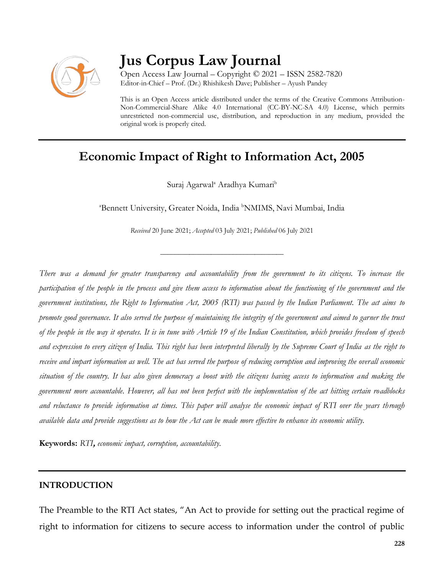

# **Jus Corpus Law Journal**

Open Access Law Journal – Copyright © 2021 – ISSN 2582-7820 Editor-in-Chief – Prof. (Dr.) Rhishikesh Dave; Publisher – Ayush Pandey

This is an Open Access article distributed under the terms of the Creative Commons Attribution-Non-Commercial-Share Alike 4.0 International (CC-BY-NC-SA 4.0) License, which permits unrestricted non-commercial use, distribution, and reproduction in any medium, provided the original work is properly cited.

# **Economic Impact of Right to Information Act, 2005**

Suraj Agarwal<sup>a</sup> Aradhya Kumari<sup>b</sup>

<sup>a</sup>Bennett University, Greater Noida, India <sup>b</sup>NMIMS, Navi Mumbai, India

*Received* 20 June 2021; *Accepted* 03 July 2021; *Published* 06 July 2021

\_\_\_\_\_\_\_\_\_\_\_\_\_\_\_\_\_\_\_\_\_\_\_\_\_\_\_\_\_\_\_\_\_\_

*There was a demand for greater transparency and accountability from the government to its citizens. To increase the participation of the people in the process and give them access to information about the functioning of the government and the government institutions, the Right to Information Act, 2005 (RTI) was passed by the Indian Parliament. The act aims to promote good governance. It also served the purpose of maintaining the integrity of the government and aimed to garner the trust of the people in the way it operates. It is in tune with Article 19 of the Indian Constitution, which provides freedom of speech and expression to every citizen of India. This right has been interpreted liberally by the Supreme Court of India as the right to receive and impart information as well. The act has served the purpose of reducing corruption and improving the overall economic situation of the country. It has also given democracy a boost with the citizens having access to information and making the government more accountable. However, all has not been perfect with the implementation of the act hitting certain roadblocks and reluctance to provide information at times. This paper will analyse the economic impact of RTI over the years through available data and provide suggestions as to how the Act can be made more effective to enhance its economic utility.*

**Keywords:** *RTI***,** *economic impact, corruption, accountability.*

#### **INTRODUCTION**

The Preamble to the RTI Act states, "An Act to provide for setting out the practical regime of right to information for citizens to secure access to information under the control of public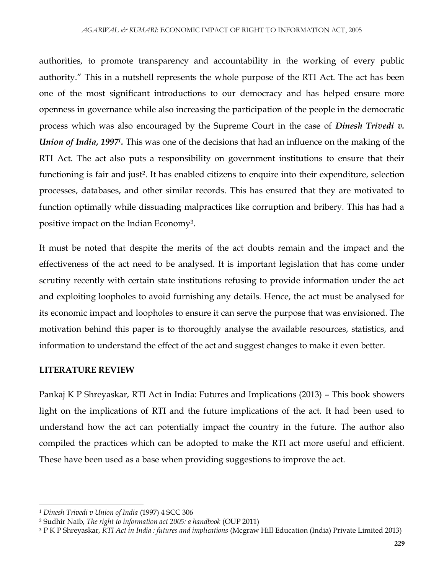authorities, to promote transparency and accountability in the working of every public authority." This in a nutshell represents the whole purpose of the RTI Act. The act has been one of the most significant introductions to our democracy and has helped ensure more openness in governance while also increasing the participation of the people in the democratic process which was also encouraged by the Supreme Court in the case of *Dinesh Trivedi v. Union of India, 1997<sup>1</sup>*. This was one of the decisions that had an influence on the making of the RTI Act. The act also puts a responsibility on government institutions to ensure that their functioning is fair and just<sup>2</sup>. It has enabled citizens to enquire into their expenditure, selection processes, databases, and other similar records. This has ensured that they are motivated to function optimally while dissuading malpractices like corruption and bribery. This has had a positive impact on the Indian Economy<sup>3</sup> .

It must be noted that despite the merits of the act doubts remain and the impact and the effectiveness of the act need to be analysed. It is important legislation that has come under scrutiny recently with certain state institutions refusing to provide information under the act and exploiting loopholes to avoid furnishing any details. Hence, the act must be analysed for its economic impact and loopholes to ensure it can serve the purpose that was envisioned. The motivation behind this paper is to thoroughly analyse the available resources, statistics, and information to understand the effect of the act and suggest changes to make it even better.

# **LITERATURE REVIEW**

Pankaj K P Shreyaskar, RTI Act in India: Futures and Implications (2013) – This book showers light on the implications of RTI and the future implications of the act. It had been used to understand how the act can potentially impact the country in the future. The author also compiled the practices which can be adopted to make the RTI act more useful and efficient. These have been used as a base when providing suggestions to improve the act.

 $\overline{\phantom{a}}$ <sup>1</sup> *Dinesh Trivedi v Union of India* (1997) 4 SCC 306

<sup>2</sup> Sudhir Naib, *The right to information act 2005: a handbook* (OUP 2011)

<sup>3</sup> P K P Shreyaskar, *RTI Act in India : futures and implications* (Mcgraw Hill Education (India) Private Limited 2013)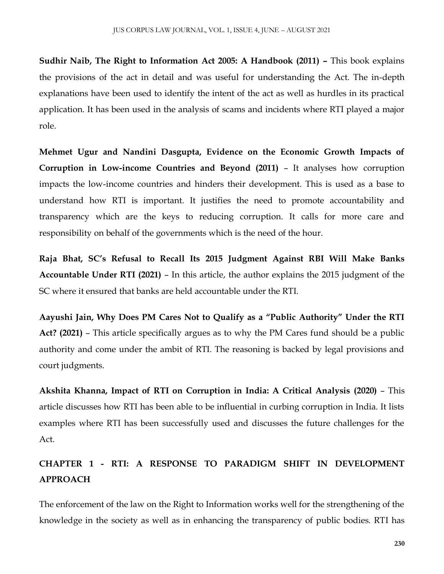**Sudhir Naib, The Right to Information Act 2005: A Handbook (2011) –** This book explains the provisions of the act in detail and was useful for understanding the Act. The in-depth explanations have been used to identify the intent of the act as well as hurdles in its practical application. It has been used in the analysis of scams and incidents where RTI played a major role.

**Mehmet Ugur and Nandini Dasgupta, Evidence on the Economic Growth Impacts of Corruption in Low-income Countries and Beyond (2011)** – It analyses how corruption impacts the low-income countries and hinders their development. This is used as a base to understand how RTI is important. It justifies the need to promote accountability and transparency which are the keys to reducing corruption. It calls for more care and responsibility on behalf of the governments which is the need of the hour.

**Raja Bhat, SC's Refusal to Recall Its 2015 Judgment Against RBI Will Make Banks Accountable Under RTI (2021)** – In this article, the author explains the 2015 judgment of the SC where it ensured that banks are held accountable under the RTI.

**Aayushi Jain, Why Does PM Cares Not to Qualify as a "Public Authority" Under the RTI Act? (2021)** – This article specifically argues as to why the PM Cares fund should be a public authority and come under the ambit of RTI. The reasoning is backed by legal provisions and court judgments.

**Akshita Khanna, Impact of RTI on Corruption in India: A Critical Analysis (2020)** – This article discusses how RTI has been able to be influential in curbing corruption in India. It lists examples where RTI has been successfully used and discusses the future challenges for the Act.

# **CHAPTER 1 - RTI: A RESPONSE TO PARADIGM SHIFT IN DEVELOPMENT APPROACH**

The enforcement of the law on the Right to Information works well for the strengthening of the knowledge in the society as well as in enhancing the transparency of public bodies. RTI has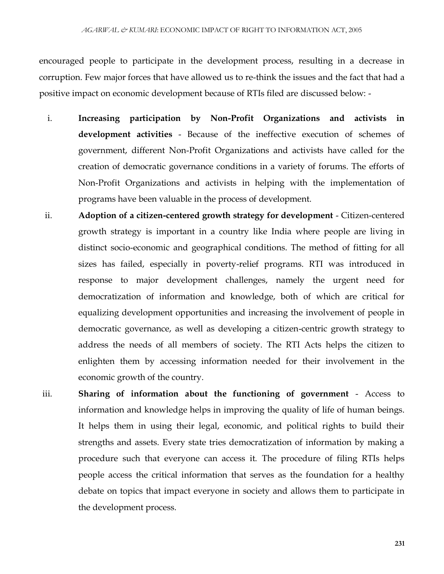encouraged people to participate in the development process, resulting in a decrease in corruption. Few major forces that have allowed us to re-think the issues and the fact that had a positive impact on economic development because of RTIs filed are discussed below: -

- i. **Increasing participation by Non-Profit Organizations and activists in development activities** - Because of the ineffective execution of schemes of government, different Non-Profit Organizations and activists have called for the creation of democratic governance conditions in a variety of forums. The efforts of Non-Profit Organizations and activists in helping with the implementation of programs have been valuable in the process of development.
- ii. **Adoption of a citizen-centered growth strategy for development**  Citizen-centered growth strategy is important in a country like India where people are living in distinct socio-economic and geographical conditions. The method of fitting for all sizes has failed, especially in poverty-relief programs. RTI was introduced in response to major development challenges, namely the urgent need for democratization of information and knowledge, both of which are critical for equalizing development opportunities and increasing the involvement of people in democratic governance, as well as developing a citizen-centric growth strategy to address the needs of all members of society. The RTI Acts helps the citizen to enlighten them by accessing information needed for their involvement in the economic growth of the country.
- iii. **Sharing of information about the functioning of government**  Access to information and knowledge helps in improving the quality of life of human beings. It helps them in using their legal, economic, and political rights to build their strengths and assets. Every state tries democratization of information by making a procedure such that everyone can access it. The procedure of filing RTIs helps people access the critical information that serves as the foundation for a healthy debate on topics that impact everyone in society and allows them to participate in the development process.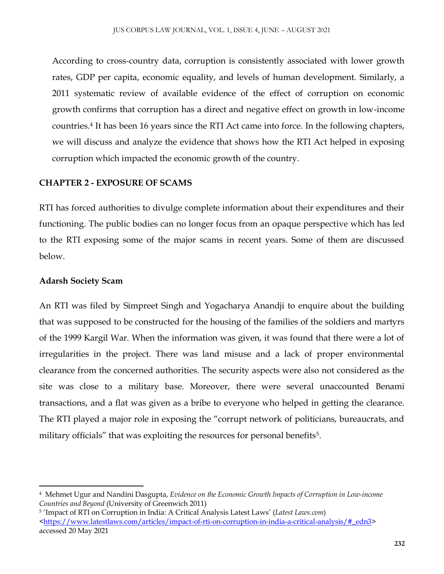According to cross-country data, corruption is consistently associated with lower growth rates, GDP per capita, economic equality, and levels of human development. Similarly, a 2011 systematic review of available evidence of the effect of corruption on economic growth confirms that corruption has a direct and negative effect on growth in low-income countries.<sup>4</sup> It has been 16 years since the RTI Act came into force. In the following chapters, we will discuss and analyze the evidence that shows how the RTI Act helped in exposing corruption which impacted the economic growth of the country.

# **CHAPTER 2 - EXPOSURE OF SCAMS**

RTI has forced authorities to divulge complete information about their expenditures and their functioning. The public bodies can no longer focus from an opaque perspective which has led to the RTI exposing some of the major scams in recent years. Some of them are discussed below.

# **Adarsh Society Scam**

 $\overline{a}$ 

An RTI was filed by Simpreet Singh and Yogacharya Anandji to enquire about the building that was supposed to be constructed for the housing of the families of the soldiers and martyrs of the 1999 Kargil War. When the information was given, it was found that there were a lot of irregularities in the project. There was land misuse and a lack of proper environmental clearance from the concerned authorities. The security aspects were also not considered as the site was close to a military base. Moreover, there were several unaccounted Benami transactions, and a flat was given as a bribe to everyone who helped in getting the clearance. The RTI played a major role in exposing the "corrupt network of politicians, bureaucrats, and military officials" that was exploiting the resources for personal benefits<sup>5</sup>.

<sup>4</sup> Mehmet Ugur and Nandini Dasgupta, *Evidence on the Economic Growth Impacts of Corruption in Low-income Countries and Beyond* (University of Greenwich 2011)

<sup>5</sup> 'Impact of RTI on Corruption in India: A Critical Analysis Latest Laws' (*Latest Laws.com*)  $\frac{\text{th}{tps}}{\text{www}.lates}$  has the state of impact-of-rti-on-corruption-in-india-a-critical-analysis/#\_edn3> accessed 20 May 2021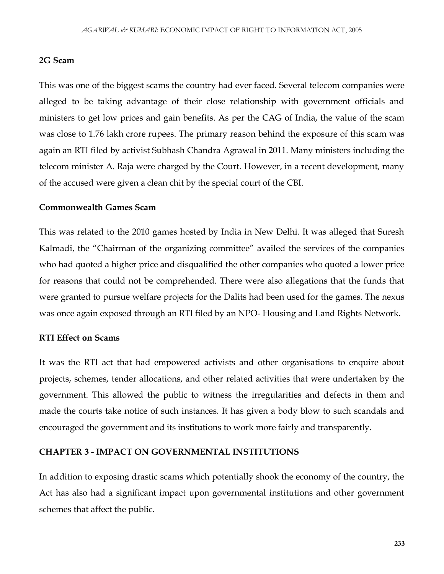#### **2G Scam**

This was one of the biggest scams the country had ever faced. Several telecom companies were alleged to be taking advantage of their close relationship with government officials and ministers to get low prices and gain benefits. As per the CAG of India, the value of the scam was close to 1.76 lakh crore rupees. The primary reason behind the exposure of this scam was again an RTI filed by activist Subhash Chandra Agrawal in 2011. Many ministers including the telecom minister A. Raja were charged by the Court. However, in a recent development, many of the accused were given a clean chit by the special court of the CBI.

#### **Commonwealth Games Scam**

This was related to the 2010 games hosted by India in New Delhi. It was alleged that Suresh Kalmadi, the "Chairman of the organizing committee" availed the services of the companies who had quoted a higher price and disqualified the other companies who quoted a lower price for reasons that could not be comprehended. There were also allegations that the funds that were granted to pursue welfare projects for the Dalits had been used for the games. The nexus was once again exposed through an RTI filed by an NPO- Housing and Land Rights Network.

#### **RTI Effect on Scams**

It was the RTI act that had empowered activists and other organisations to enquire about projects, schemes, tender allocations, and other related activities that were undertaken by the government. This allowed the public to witness the irregularities and defects in them and made the courts take notice of such instances. It has given a body blow to such scandals and encouraged the government and its institutions to work more fairly and transparently.

#### **CHAPTER 3 - IMPACT ON GOVERNMENTAL INSTITUTIONS**

In addition to exposing drastic scams which potentially shook the economy of the country, the Act has also had a significant impact upon governmental institutions and other government schemes that affect the public.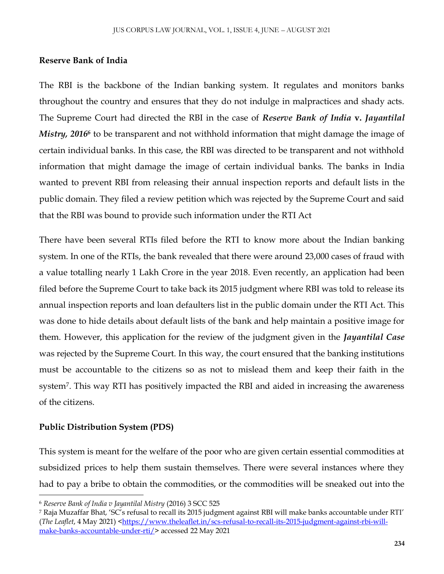### **Reserve Bank of India**

The RBI is the backbone of the Indian banking system. It regulates and monitors banks throughout the country and ensures that they do not indulge in malpractices and shady acts. The Supreme Court had directed the RBI in the case of *Reserve Bank of India* **v.** *Jayantilal Mistry, 2016*<sup>6</sup> to be transparent and not withhold information that might damage the image of certain individual banks. In this case, the RBI was directed to be transparent and not withhold information that might damage the image of certain individual banks. The banks in India wanted to prevent RBI from releasing their annual inspection reports and default lists in the public domain. They filed a review petition which was rejected by the Supreme Court and said that the RBI was bound to provide such information under the RTI Act

There have been several RTIs filed before the RTI to know more about the Indian banking system. In one of the RTIs, the bank revealed that there were around 23,000 cases of fraud with a value totalling nearly 1 Lakh Crore in the year 2018. Even recently, an application had been filed before the Supreme Court to take back its 2015 judgment where RBI was told to release its annual inspection reports and loan defaulters list in the public domain under the RTI Act. This was done to hide details about default lists of the bank and help maintain a positive image for them. However, this application for the review of the judgment given in the *Jayantilal Case* was rejected by the Supreme Court. In this way, the court ensured that the banking institutions must be accountable to the citizens so as not to mislead them and keep their faith in the system<sup>7</sup> . This way RTI has positively impacted the RBI and aided in increasing the awareness of the citizens.

# **Public Distribution System (PDS)**

 $\overline{\phantom{a}}$ 

This system is meant for the welfare of the poor who are given certain essential commodities at subsidized prices to help them sustain themselves. There were several instances where they had to pay a bribe to obtain the commodities, or the commodities will be sneaked out into the

<sup>6</sup> *Reserve Bank of India v Jayantilal Mistry* (2016) 3 SCC 525

<sup>7</sup> Raja Muzaffar Bhat, 'SC's refusal to recall its 2015 judgment against RBI will make banks accountable under RTI' (*The Leaflet*, 4 May 2021) [<https://www.theleaflet.in/scs-refusal-to-recall-its-2015-judgment-against-rbi-will](https://www.theleaflet.in/scs-refusal-to-recall-its-2015-judgment-against-rbi-will-make-banks-accountable-under-rti/)[make-banks-accountable-under-rti/>](https://www.theleaflet.in/scs-refusal-to-recall-its-2015-judgment-against-rbi-will-make-banks-accountable-under-rti/) accessed 22 May 2021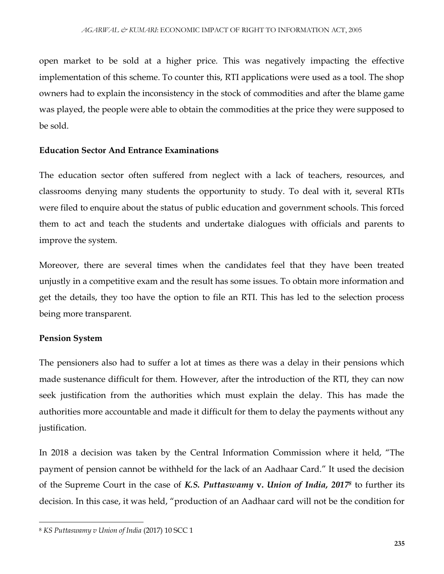open market to be sold at a higher price. This was negatively impacting the effective implementation of this scheme. To counter this, RTI applications were used as a tool. The shop owners had to explain the inconsistency in the stock of commodities and after the blame game was played, the people were able to obtain the commodities at the price they were supposed to be sold.

# **Education Sector And Entrance Examinations**

The education sector often suffered from neglect with a lack of teachers, resources, and classrooms denying many students the opportunity to study. To deal with it, several RTIs were filed to enquire about the status of public education and government schools. This forced them to act and teach the students and undertake dialogues with officials and parents to improve the system.

Moreover, there are several times when the candidates feel that they have been treated unjustly in a competitive exam and the result has some issues. To obtain more information and get the details, they too have the option to file an RTI. This has led to the selection process being more transparent.

# **Pension System**

The pensioners also had to suffer a lot at times as there was a delay in their pensions which made sustenance difficult for them. However, after the introduction of the RTI, they can now seek justification from the authorities which must explain the delay. This has made the authorities more accountable and made it difficult for them to delay the payments without any justification.

In 2018 a decision was taken by the Central Information Commission where it held, "The payment of pension cannot be withheld for the lack of an Aadhaar Card." It used the decision of the Supreme Court in the case of *K.S. Puttaswamy* **v.** *Union of India, 2017<sup>8</sup>* to further its decision. In this case, it was held, "production of an Aadhaar card will not be the condition for

 $\overline{\phantom{a}}$ <sup>8</sup> *KS Puttaswamy v Union of India* (2017) 10 SCC 1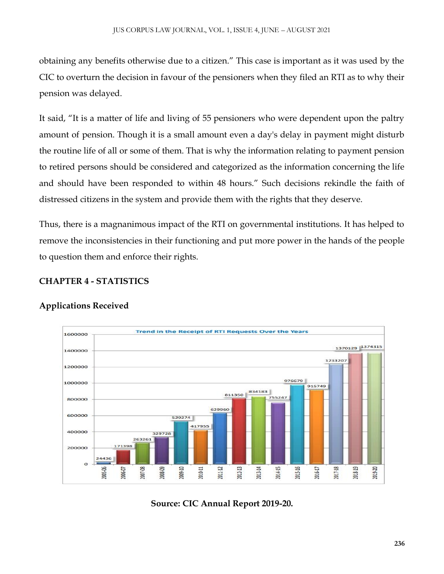obtaining any benefits otherwise due to a citizen." This case is important as it was used by the CIC to overturn the decision in favour of the pensioners when they filed an RTI as to why their pension was delayed.

It said, "It is a matter of life and living of 55 pensioners who were dependent upon the paltry amount of pension. Though it is a small amount even a day's delay in payment might disturb the routine life of all or some of them. That is why the information relating to payment pension to retired persons should be considered and categorized as the information concerning the life and should have been responded to within 48 hours." Such decisions rekindle the faith of distressed citizens in the system and provide them with the rights that they deserve.

Thus, there is a magnanimous impact of the RTI on governmental institutions. It has helped to remove the inconsistencies in their functioning and put more power in the hands of the people to question them and enforce their rights.

# **CHAPTER 4 - STATISTICS**



# **Applications Received**

**Source: CIC Annual Report 2019-20.**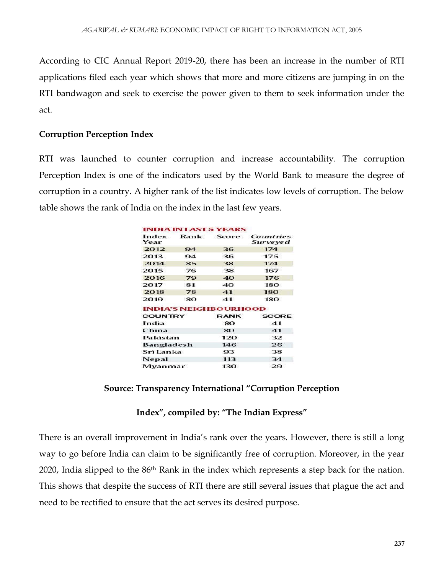According to CIC Annual Report 2019-20, there has been an increase in the number of RTI applications filed each year which shows that more and more citizens are jumping in on the RTI bandwagon and seek to exercise the power given to them to seek information under the act.

#### **Corruption Perception Index**

RTI was launched to counter corruption and increase accountability. The corruption Perception Index is one of the indicators used by the World Bank to measure the degree of corruption in a country. A higher rank of the list indicates low levels of corruption. The below table shows the rank of India on the index in the last few years.

|                |    | <b>INDIA IN LAST 5 YEARS</b> |                       |
|----------------|----|------------------------------|-----------------------|
| Index<br>Year  |    | Rank Score                   | Countries<br>Surveyed |
| 2012           | 94 | 36                           | 174                   |
| 2013           | 94 | 36                           | 175                   |
| 2014           | 85 | 38                           | 174                   |
| 2015           | 76 | 38                           | 167                   |
| 2016           | 79 | 40                           | 176                   |
| 2017           | 81 | 40                           | 180                   |
| 2018           | 78 | 41                           | 180                   |
| 2019           | 80 | 41                           | 180                   |
|                |    | <b>INDIA'S NEIGHBOURHOOD</b> |                       |
| <b>COUNTRY</b> |    | <b>RANK</b>                  | <b>SCORE</b>          |
| India          |    | 80                           | 41                    |
| China          |    | 80                           | 41                    |
| Pakistan       |    | 120                          | 32                    |
| Bangladesh     |    | 146                          | 26                    |
| Sri Lanka      |    | 93                           | 38                    |
| <b>Nepal</b>   |    | 113                          | 34                    |
| Myanmar        |    | 130                          | 29                    |

#### **Source: Transparency International "Corruption Perception**

#### **Index", compiled by: "The Indian Express"**

There is an overall improvement in India's rank over the years. However, there is still a long way to go before India can claim to be significantly free of corruption. Moreover, in the year 2020, India slipped to the 86th Rank in the index which represents a step back for the nation. This shows that despite the success of RTI there are still several issues that plague the act and need to be rectified to ensure that the act serves its desired purpose.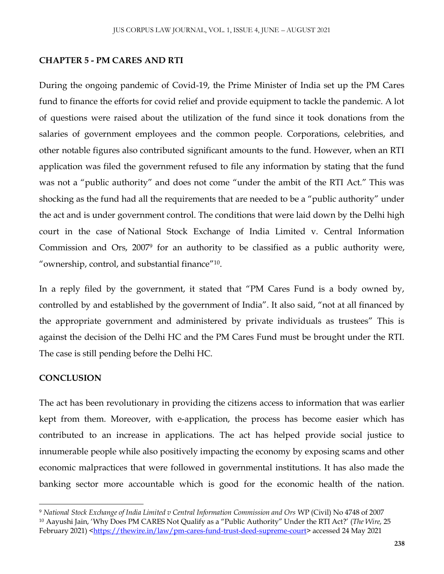### **CHAPTER 5 - PM CARES AND RTI**

During the ongoing pandemic of Covid-19, the Prime Minister of India set up the PM Cares fund to finance the efforts for covid relief and provide equipment to tackle the pandemic. A lot of questions were raised about the utilization of the fund since it took donations from the salaries of government employees and the common people. Corporations, celebrities, and other notable figures also contributed significant amounts to the fund. However, when an RTI application was filed the government refused to file any information by stating that the fund was not a "public authority" and does not come "under the ambit of the RTI Act." This was shocking as the fund had all the requirements that are needed to be a "public authority" under the act and is under government control. The conditions that were laid down by the Delhi high court in the case of National Stock Exchange of India Limited v. Central Information Commission and Ors, 2007<sup>9</sup> for an authority to be classified as a public authority were, "ownership, control, and substantial finance"<sup>10</sup> .

In a reply filed by the government, it stated that "PM Cares Fund is a body owned by, controlled by and established by the government of India". It also said, "not at all financed by the appropriate government and administered by private individuals as trustees" This is against the decision of the Delhi HC and the PM Cares Fund must be brought under the RTI. The case is still pending before the Delhi HC.

# **CONCLUSION**

 $\overline{\phantom{a}}$ 

The act has been revolutionary in providing the citizens access to information that was earlier kept from them. Moreover, with e-application, the process has become easier which has contributed to an increase in applications. The act has helped provide social justice to innumerable people while also positively impacting the economy by exposing scams and other economic malpractices that were followed in governmental institutions. It has also made the banking sector more accountable which is good for the economic health of the nation.

<sup>9</sup> *National Stock Exchange of India Limited v Central Information Commission and Ors* WP (Civil) No 4748 of 2007 <sup>10</sup> Aayushi Jain, 'Why Does PM CARES Not Qualify as a "Public Authority" Under the RTI Act?' (*The Wire*, 25 February 2021) [<https://thewire.in/law/pm-cares-fund-trust-deed-supreme-court>](https://thewire.in/law/pm-cares-fund-trust-deed-supreme-court) accessed 24 May 2021